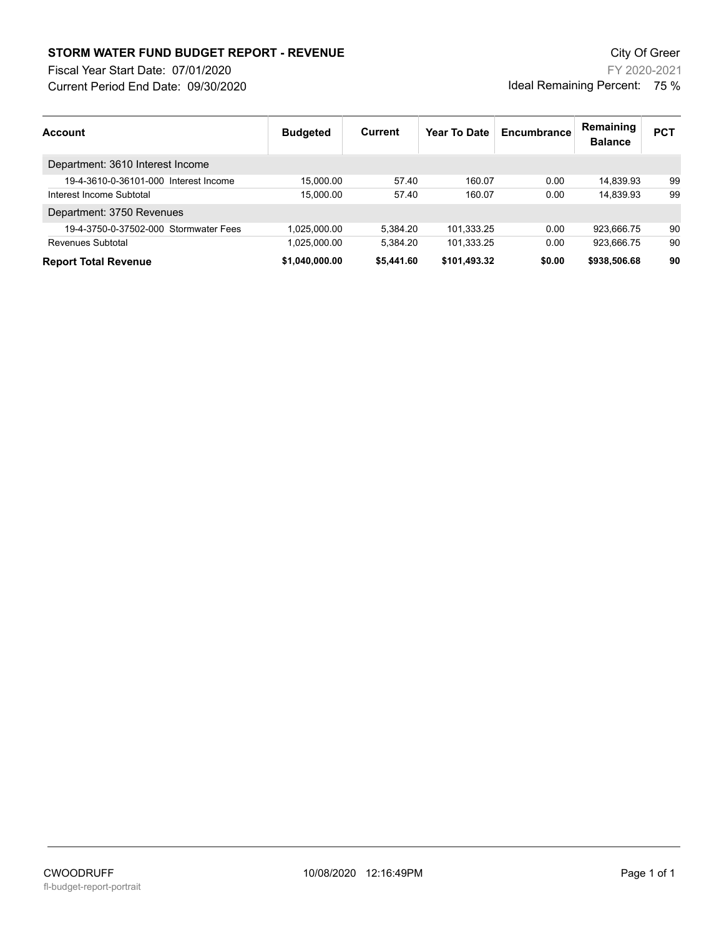## **STORM WATER FUND BUDGET REPORT - REVENUE City Of Green** City Of Green

Fiscal Year Start Date: 07/01/2020

Current Period End Date: 09/30/2020

FY 2020-2021 Ideal Remaining Percent: 75 %

| <b>Account</b>                        | <b>Budgeted</b> | Current    | Year To Date | Encumbrance | Remaining<br><b>Balance</b> | <b>PCT</b> |
|---------------------------------------|-----------------|------------|--------------|-------------|-----------------------------|------------|
| Department: 3610 Interest Income      |                 |            |              |             |                             |            |
| 19-4-3610-0-36101-000 Interest Income | 15.000.00       | 57.40      | 160.07       | 0.00        | 14.839.93                   | 99         |
| Interest Income Subtotal              | 15.000.00       | 57.40      | 160.07       | 0.00        | 14.839.93                   | 99         |
| Department: 3750 Revenues             |                 |            |              |             |                             |            |
| 19-4-3750-0-37502-000 Stormwater Fees | 1.025.000.00    | 5.384.20   | 101,333.25   | 0.00        | 923.666.75                  | 90         |
| Revenues Subtotal                     | 1.025.000.00    | 5.384.20   | 101.333.25   | 0.00        | 923.666.75                  | 90         |
| <b>Report Total Revenue</b>           | \$1.040.000.00  | \$5,441.60 | \$101,493.32 | \$0.00      | \$938,506.68                | 90         |